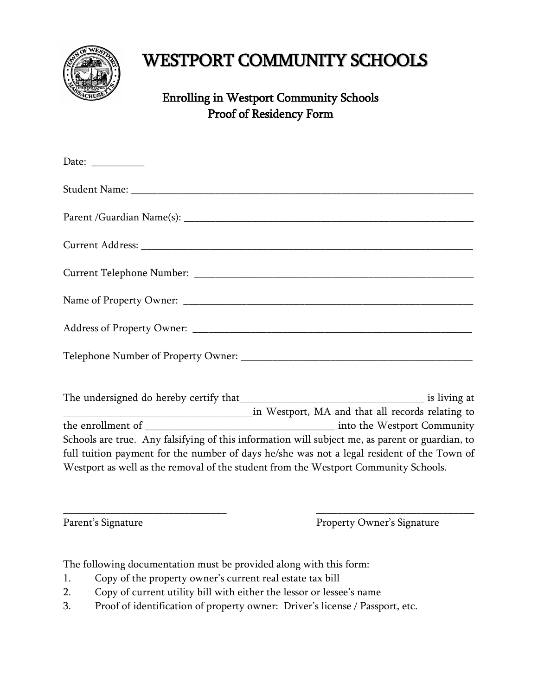

## WESTPORT COMMUNITY SCHOOLS

## Enrolling in Westport Community Schools Proof of Residency Form

| Date: $\frac{ }{ }$ |                                                                                                 |
|---------------------|-------------------------------------------------------------------------------------------------|
|                     |                                                                                                 |
|                     |                                                                                                 |
|                     |                                                                                                 |
|                     |                                                                                                 |
|                     |                                                                                                 |
|                     |                                                                                                 |
|                     |                                                                                                 |
|                     |                                                                                                 |
|                     |                                                                                                 |
|                     | Schools are true. Any falsifying of this information will subject me, as parent or guardian, to |
|                     | full tuition payment for the number of days he/she was not a legal resident of the Town of      |
|                     | Westport as well as the removal of the student from the Westport Community Schools.             |

 $\overline{\phantom{a}}$  , and the contract of the contract of the contract of the contract of the contract of the contract of the contract of the contract of the contract of the contract of the contract of the contract of the contrac

Parent's Signature Property Owner's Signature

The following documentation must be provided along with this form:

- 1. Copy of the property owner's current real estate tax bill
- 2. Copy of current utility bill with either the lessor or lessee's name
- 3. Proof of identification of property owner: Driver's license / Passport, etc.